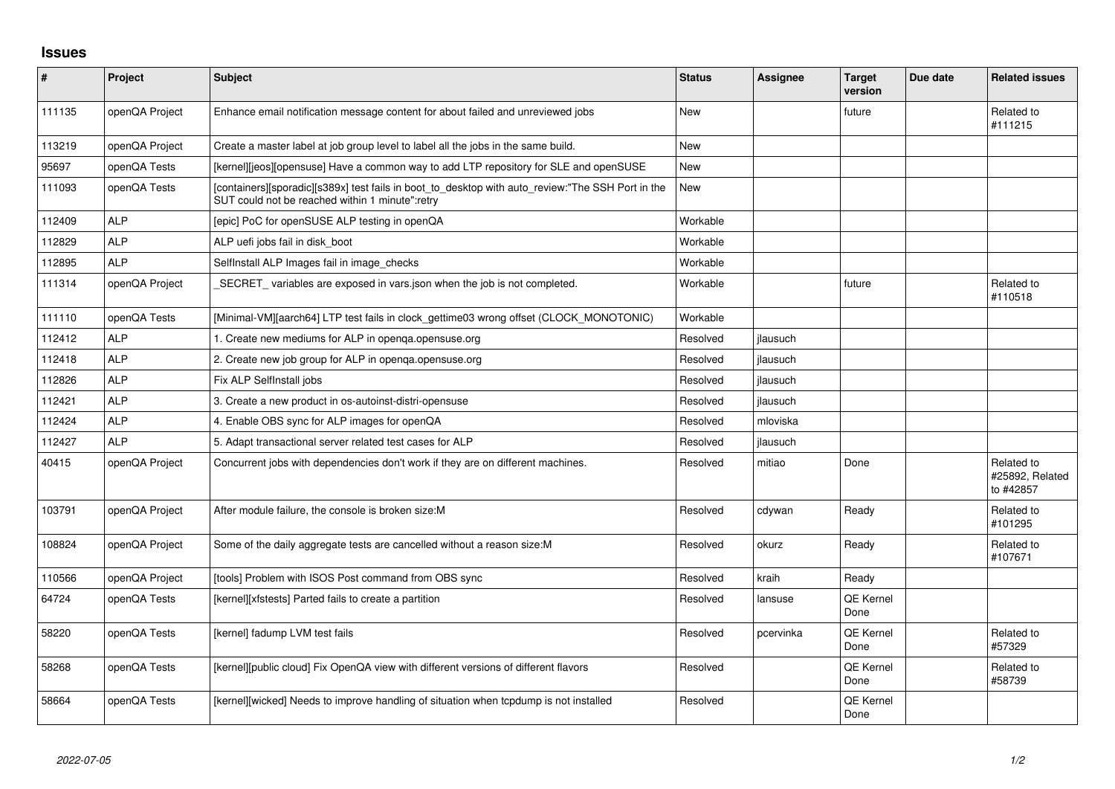## **Issues**

| #      | <b>Project</b> | <b>Subject</b>                                                                                                                                       | <b>Status</b> | Assignee  | <b>Target</b><br>version | Due date | <b>Related issues</b>                      |
|--------|----------------|------------------------------------------------------------------------------------------------------------------------------------------------------|---------------|-----------|--------------------------|----------|--------------------------------------------|
| 111135 | openQA Project | Enhance email notification message content for about failed and unreviewed jobs                                                                      | <b>New</b>    |           | future                   |          | Related to<br>#111215                      |
| 113219 | openQA Project | Create a master label at job group level to label all the jobs in the same build.                                                                    | <b>New</b>    |           |                          |          |                                            |
| 95697  | openQA Tests   | [kernel][jeos][opensuse] Have a common way to add LTP repository for SLE and openSUSE                                                                | New           |           |                          |          |                                            |
| 111093 | openQA Tests   | [containers][sporadic][s389x] test fails in boot_to_desktop with auto_review:"The SSH Port in the<br>SUT could not be reached within 1 minute":retry | New           |           |                          |          |                                            |
| 112409 | <b>ALP</b>     | [epic] PoC for openSUSE ALP testing in openQA                                                                                                        | Workable      |           |                          |          |                                            |
| 112829 | <b>ALP</b>     | ALP uefi jobs fail in disk boot                                                                                                                      | Workable      |           |                          |          |                                            |
| 112895 | <b>ALP</b>     | SelfInstall ALP Images fail in image checks                                                                                                          | Workable      |           |                          |          |                                            |
| 111314 | openQA Project | _SECRET_ variables are exposed in vars.json when the job is not completed.                                                                           | Workable      |           | future                   |          | Related to<br>#110518                      |
| 111110 | openQA Tests   | [Minimal-VM][aarch64] LTP test fails in clock_gettime03 wrong offset (CLOCK_MONOTONIC)                                                               | Workable      |           |                          |          |                                            |
| 112412 | <b>ALP</b>     | 1. Create new mediums for ALP in openqa.opensuse.org                                                                                                 | Resolved      | jlausuch  |                          |          |                                            |
| 112418 | <b>ALP</b>     | 2. Create new job group for ALP in openga.opensuse.org                                                                                               | Resolved      | jlausuch  |                          |          |                                            |
| 112826 | <b>ALP</b>     | Fix ALP SelfInstall jobs                                                                                                                             | Resolved      | jlausuch  |                          |          |                                            |
| 112421 | <b>ALP</b>     | 3. Create a new product in os-autoinst-distri-opensuse                                                                                               | Resolved      | jlausuch  |                          |          |                                            |
| 112424 | <b>ALP</b>     | 4. Enable OBS sync for ALP images for openQA                                                                                                         | Resolved      | mloviska  |                          |          |                                            |
| 112427 | <b>ALP</b>     | 5. Adapt transactional server related test cases for ALP                                                                                             | Resolved      | jlausuch  |                          |          |                                            |
| 40415  | openQA Project | Concurrent jobs with dependencies don't work if they are on different machines.                                                                      | Resolved      | mitiao    | Done                     |          | Related to<br>#25892, Related<br>to #42857 |
| 103791 | openQA Project | After module failure, the console is broken size: M                                                                                                  | Resolved      | cdywan    | Ready                    |          | Related to<br>#101295                      |
| 108824 | openQA Project | Some of the daily aggregate tests are cancelled without a reason size: M                                                                             | Resolved      | okurz     | Ready                    |          | Related to<br>#107671                      |
| 110566 | openQA Project | [tools] Problem with ISOS Post command from OBS sync                                                                                                 | Resolved      | kraih     | Ready                    |          |                                            |
| 64724  | openQA Tests   | [kernel][xfstests] Parted fails to create a partition                                                                                                | Resolved      | lansuse   | <b>QE Kernel</b><br>Done |          |                                            |
| 58220  | openQA Tests   | [kernel] fadump LVM test fails                                                                                                                       | Resolved      | pcervinka | <b>QE Kernel</b><br>Done |          | Related to<br>#57329                       |
| 58268  | openQA Tests   | [kernel][public cloud] Fix OpenQA view with different versions of different flavors                                                                  | Resolved      |           | QE Kernel<br>Done        |          | Related to<br>#58739                       |
| 58664  | openQA Tests   | [kernel][wicked] Needs to improve handling of situation when topdump is not installed                                                                | Resolved      |           | <b>QE Kernel</b><br>Done |          |                                            |